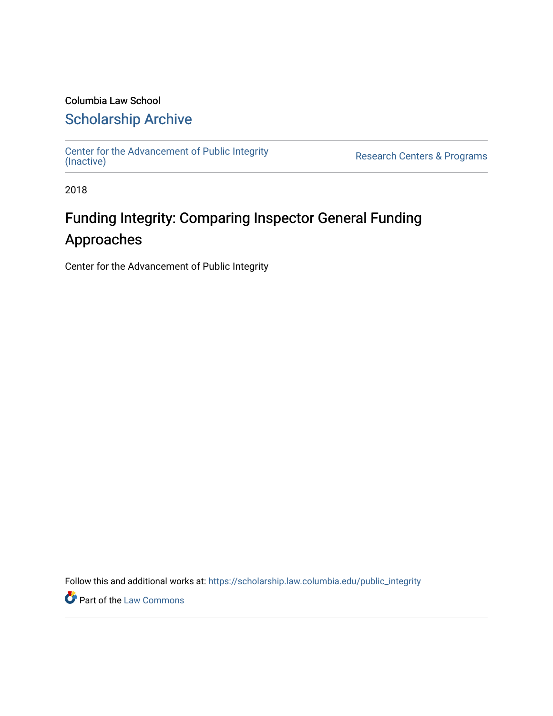### Columbia Law School [Scholarship Archive](https://scholarship.law.columbia.edu/)

[Center for the Advancement of Public Integrity](https://scholarship.law.columbia.edu/public_integrity)<br>(Inactive)

Research Centers & Programs

2018

# Funding Integrity: Comparing Inspector General Funding Approaches

Center for the Advancement of Public Integrity

Follow this and additional works at: [https://scholarship.law.columbia.edu/public\\_integrity](https://scholarship.law.columbia.edu/public_integrity?utm_source=scholarship.law.columbia.edu%2Fpublic_integrity%2F23&utm_medium=PDF&utm_campaign=PDFCoverPages)

**Part of the [Law Commons](http://network.bepress.com/hgg/discipline/578?utm_source=scholarship.law.columbia.edu%2Fpublic_integrity%2F23&utm_medium=PDF&utm_campaign=PDFCoverPages)**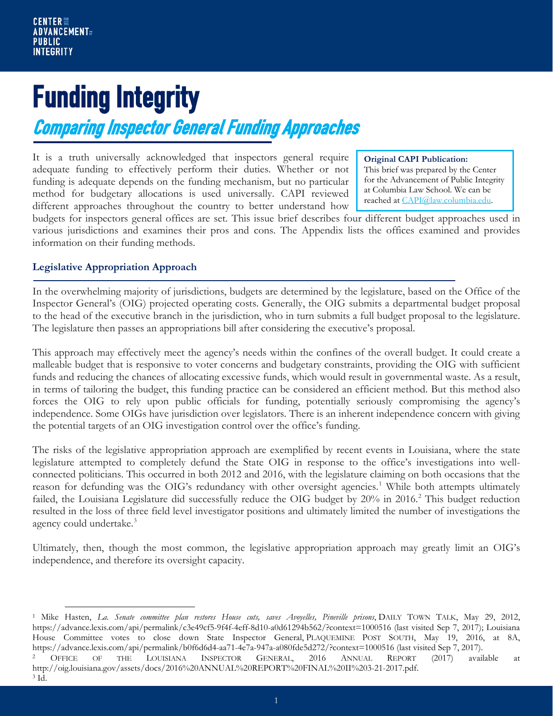# Funding Integrity

Comparing Inspector General Funding Approaches

It is a truth universally acknowledged that inspectors general require adequate funding to effectively perform their duties. Whether or not funding is adequate depends on the funding mechanism, but no particular method for budgetary allocations is used universally. CAPI reviewed different approaches throughout the country to better understand how

**Original CAPI Publication:**  This brief was prepared by the Center for the Advancement of Public Integrity at Columbia Law School. We can be reached at [CAPI@law.columbia.edu.](mailto:CAPI@law.columbia.edu)

budgets for inspectors general offices are set. This issue brief describes four different budget approaches used in various jurisdictions and examines their pros and cons. The Appendix lists the offices examined and provides information on their funding methods.

#### **Legislative Appropriation Approach**

In the overwhelming majority of jurisdictions, budgets are determined by the legislature, based on the Office of the Inspector General's (OIG) projected operating costs. Generally, the OIG submits a departmental budget proposal to the head of the executive branch in the jurisdiction, who in turn submits a full budget proposal to the legislature. The legislature then passes an appropriations bill after considering the executive's proposal.

This approach may effectively meet the agency's needs within the confines of the overall budget. It could create a malleable budget that is responsive to voter concerns and budgetary constraints, providing the OIG with sufficient funds and reducing the chances of allocating excessive funds, which would result in governmental waste. As a result, in terms of tailoring the budget, this funding practice can be considered an efficient method. But this method also forces the OIG to rely upon public officials for funding, potentially seriously compromising the agency's independence. Some OIGs have jurisdiction over legislators. There is an inherent independence concern with giving the potential targets of an OIG investigation control over the office's funding.

The risks of the legislative appropriation approach are exemplified by recent events in Louisiana, where the state legislature attempted to completely defund the State OIG in response to the office's investigations into wellconnected politicians. This occurred in both 2012 and 2016, with the legislature claiming on both occasions that the reason for defunding was the OIG's redundancy with other oversight agencies.<sup>[1](#page-1-0)</sup> While both attempts ultimately failed, the Louisiana Legislature did successfully reduce the OIG budget by [2](#page-1-1)0% in 2016.<sup>2</sup> This budget reduction resulted in the loss of three field level investigator positions and ultimately limited the number of investigations the agency could undertake.<sup>[3](#page-1-2)</sup>

Ultimately, then, though the most common, the legislative appropriation approach may greatly limit an OIG's independence, and therefore its oversight capacity.

<span id="page-1-0"></span> $\overline{a}$ <sup>1</sup> Mike Hasten, *La. Senate committee plan restores House cuts, saves Avoyelles, Pineville prisons*, DAILY TOWN TALK, May 29, 2012, https://advance.lexis.com/api/permalink/c3e49cf5-9f4f-4eff-8d10-a0d61294b562/?context=1000516 (last visited Sep 7, 2017); Louisiana House Committee votes to close down State Inspector General, PLAQUEMINE POST SOUTH, May 19, 2016, at 8A, https://advance.lexis.com/api/permalink/b0f6d6d4-aa71-4e7a-947a-a080fde5d272/?context=1000516 (last visited Sep 7, 2017).

<span id="page-1-2"></span><span id="page-1-1"></span><sup>2</sup> OFFICE OF THE LOUISIANA INSPECTOR GENERAL, 2016 ANNUAL REPORT (2017) available at http://oig.louisiana.gov/assets/docs/2016%20ANNUAL%20REPORT%20FINAL%20II%203-21-2017.pdf.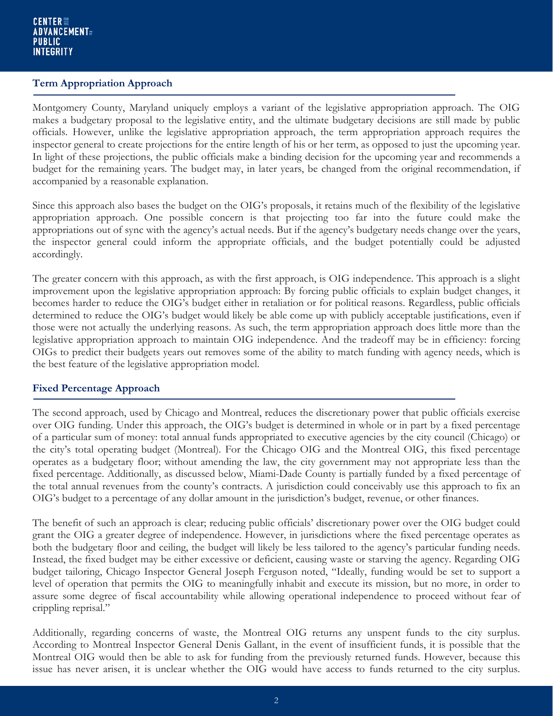#### **Term Appropriation Approach**

Montgomery County, Maryland uniquely employs a variant of the legislative appropriation approach. The OIG makes a budgetary proposal to the legislative entity, and the ultimate budgetary decisions are still made by public officials. However, unlike the legislative appropriation approach, the term appropriation approach requires the inspector general to create projections for the entire length of his or her term, as opposed to just the upcoming year. In light of these projections, the public officials make a binding decision for the upcoming year and recommends a budget for the remaining years. The budget may, in later years, be changed from the original recommendation, if accompanied by a reasonable explanation.

Since this approach also bases the budget on the OIG's proposals, it retains much of the flexibility of the legislative appropriation approach. One possible concern is that projecting too far into the future could make the appropriations out of sync with the agency's actual needs. But if the agency's budgetary needs change over the years, the inspector general could inform the appropriate officials, and the budget potentially could be adjusted accordingly.

The greater concern with this approach, as with the first approach, is OIG independence. This approach is a slight improvement upon the legislative appropriation approach: By forcing public officials to explain budget changes, it becomes harder to reduce the OIG's budget either in retaliation or for political reasons. Regardless, public officials determined to reduce the OIG's budget would likely be able come up with publicly acceptable justifications, even if those were not actually the underlying reasons. As such, the term appropriation approach does little more than the legislative appropriation approach to maintain OIG independence. And the tradeoff may be in efficiency: forcing OIGs to predict their budgets years out removes some of the ability to match funding with agency needs, which is the best feature of the legislative appropriation model.

#### **Fixed Percentage Approach**

The second approach, used by Chicago and Montreal, reduces the discretionary power that public officials exercise over OIG funding. Under this approach, the OIG's budget is determined in whole or in part by a fixed percentage of a particular sum of money: total annual funds appropriated to executive agencies by the city council (Chicago) or the city's total operating budget (Montreal). For the Chicago OIG and the Montreal OIG, this fixed percentage operates as a budgetary floor; without amending the law, the city government may not appropriate less than the fixed percentage. Additionally, as discussed below, Miami-Dade County is partially funded by a fixed percentage of the total annual revenues from the county's contracts. A jurisdiction could conceivably use this approach to fix an OIG's budget to a percentage of any dollar amount in the jurisdiction's budget, revenue, or other finances.

The benefit of such an approach is clear; reducing public officials' discretionary power over the OIG budget could grant the OIG a greater degree of independence. However, in jurisdictions where the fixed percentage operates as both the budgetary floor and ceiling, the budget will likely be less tailored to the agency's particular funding needs. Instead, the fixed budget may be either excessive or deficient, causing waste or starving the agency. Regarding OIG budget tailoring, Chicago Inspector General Joseph Ferguson noted, "Ideally, funding would be set to support a level of operation that permits the OIG to meaningfully inhabit and execute its mission, but no more, in order to assure some degree of fiscal accountability while allowing operational independence to proceed without fear of crippling reprisal."

Additionally, regarding concerns of waste, the Montreal OIG returns any unspent funds to the city surplus. According to Montreal Inspector General Denis Gallant, in the event of insufficient funds, it is possible that the Montreal OIG would then be able to ask for funding from the previously returned funds. However, because this issue has never arisen, it is unclear whether the OIG would have access to funds returned to the city surplus.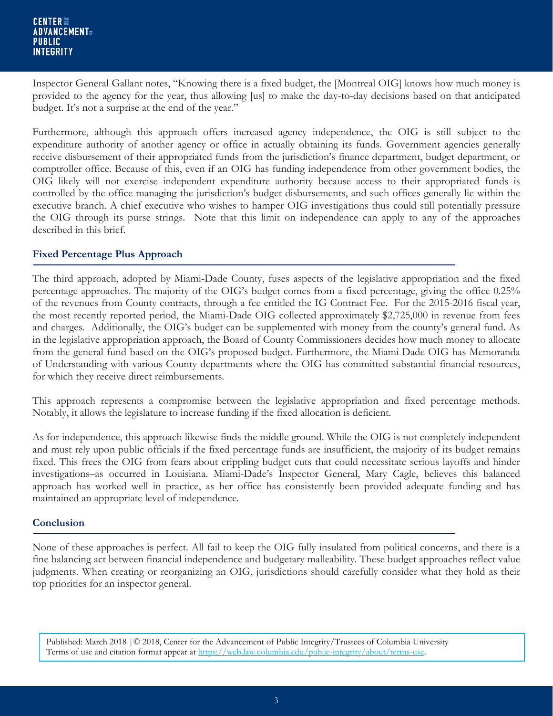Inspector General Gallant notes, "Knowing there is a fixed budget, the [Montreal OIG] knows how much money is provided to the agency for the year, thus allowing [us] to make the day-to-day decisions based on that anticipated budget. It's not a surprise at the end of the year."

Furthermore, although this approach offers increased agency independence, the OIG is still subject to the expenditure authority of another agency or office in actually obtaining its funds. Government agencies generally receive disbursement of their appropriated funds from the jurisdiction's finance department, budget department, or comptroller office. Because of this, even if an OIG has funding independence from other government bodies, the OIG likely will not exercise independent expenditure authority because access to their appropriated funds is controlled by the office managing the jurisdiction's budget disbursements, and such offices generally lie within the executive branch. A chief executive who wishes to hamper OIG investigations thus could still potentially pressure the OIG through its purse strings. Note that this limit on independence can apply to any of the approaches described in this brief.

#### **Fixed Percentage Plus Approach**

The third approach, adopted by Miami-Dade County, fuses aspects of the legislative appropriation and the fixed percentage approaches. The majority of the OIG's budget comes from a fixed percentage, giving the office 0.25% of the revenues from County contracts, through a fee entitled the IG Contract Fee. For the 2015-2016 fiscal year, the most recently reported period, the Miami-Dade OIG collected approximately \$2,725,000 in revenue from fees and charges. Additionally, the OIG's budget can be supplemented with money from the county's general fund. As in the legislative appropriation approach, the Board of County Commissioners decides how much money to allocate from the general fund based on the OIG's proposed budget. Furthermore, the Miami-Dade OIG has Memoranda of Understanding with various County departments where the OIG has committed substantial financial resources, for which they receive direct reimbursements.

This approach represents a compromise between the legislative appropriation and fixed percentage methods. Notably, it allows the legislature to increase funding if the fixed allocation is deficient.

As for independence, this approach likewise finds the middle ground. While the OIG is not completely independent and must rely upon public officials if the fixed percentage funds are insufficient, the majority of its budget remains fixed. This frees the OIG from fears about crippling budget cuts that could necessitate serious layoffs and hinder investigations–as occurred in Louisiana. Miami-Dade's Inspector General, Mary Cagle, believes this balanced approach has worked well in practice, as her office has consistently been provided adequate funding and has maintained an appropriate level of independence.

#### **Conclusion**

None of these approaches is perfect. All fail to keep the OIG fully insulated from political concerns, and there is a fine balancing act between financial independence and budgetary malleability. These budget approaches reflect value judgments. When creating or reorganizing an OIG, jurisdictions should carefully consider what they hold as their top priorities for an inspector general.

Published: March 2018 |© 2018, Center for the Advancement of Public Integrity/Trustees of Columbia University Terms of use and citation format appear at [https://web.law.columbia.edu/public-integrity/about/terms-use.](https://web.law.columbia.edu/public-integrity/about/terms-use)